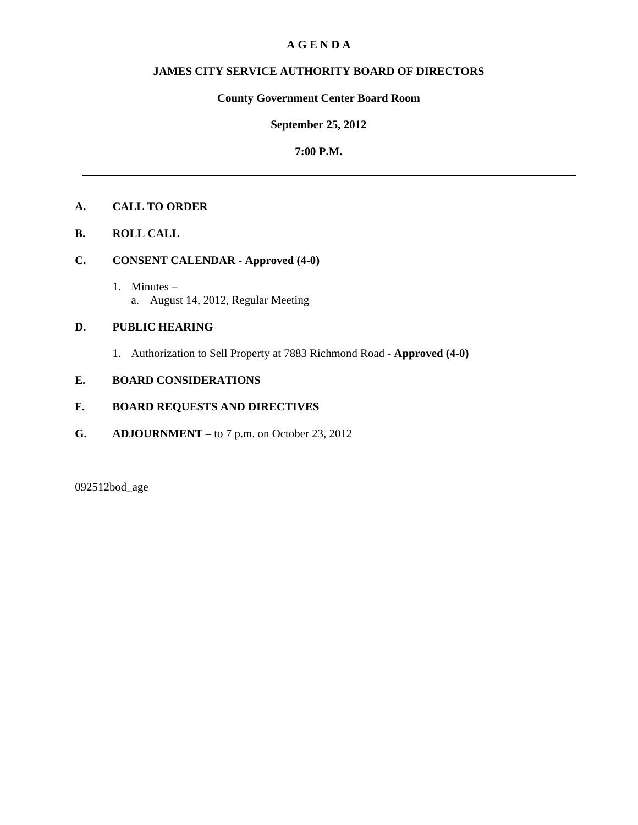## **A G E N D A**

# **JAMES CITY SERVICE AUTHORITY BOARD OF DIRECTORS**

# **County Government Center Board Room**

## **September 25, 2012**

## **7:00 P.M.**

# **A. CALL TO ORDER**

**B. ROLL CALL**

# **C. CONSENT CALENDAR - Approved (4-0)**

 1. Minutes – a. August 14, 2012, Regular Meeting

# **D. PUBLIC HEARING**

1. Authorization to Sell Property at 7883 Richmond Road - **Approved (4-0)**

# **E. BOARD CONSIDERATIONS**

## **F. BOARD REQUESTS AND DIRECTIVES**

**G. ADJOURNMENT –** to 7 p.m. on October 23, 2012

092512bod\_age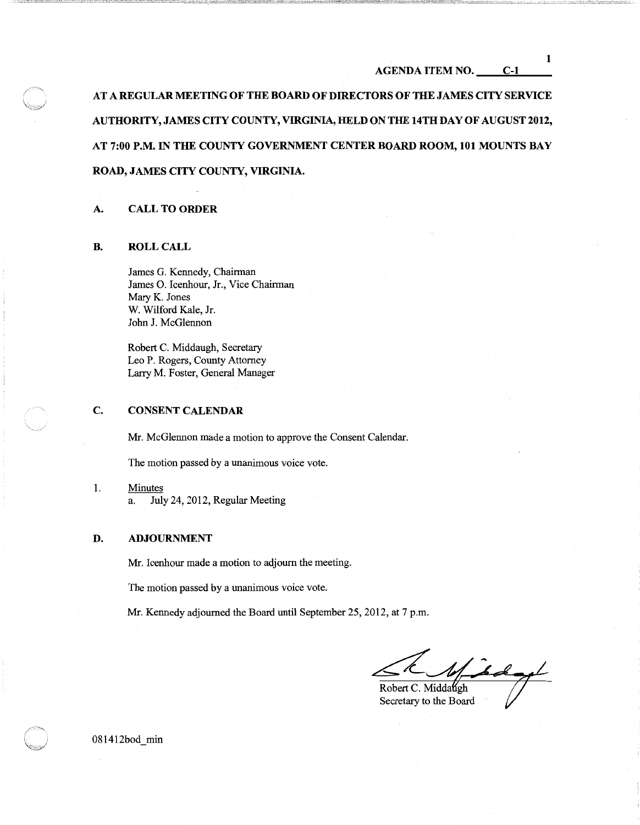#### AGENDA ITEM NO. C-1

AT A REGULAR MEETING OF THE BOARD OF DIRECTORS OF THE JAMES CITY SERVICE AUTHORITY, JAMES CITY COUNTY, VIRGINIA, HELD ON THE 14TH DAY OF AUGUST 2012, AT 7:00 P.M. IN THE COUNTY GOVERNMENT CENTER BOARD ROOM, 101 MOUNTS BAY ROAD, JAMES CITY COUNTY, VIRGINIA.

#### A. CALL TO ORDER

#### B. ROLLCALL

James G. Kennedy, Chairman James 0. Icenhour, Jr., Vice Chairman Mary K. Jones W. Wilford Kale, Jr. John J. McGlennon

Robert C. Middaugh, Secretary Leo P. Rogers, County Attorney Larry M. Foster, General Manager

#### C. CONSENT CALENDAR

Mr. McGlennon made a motion to approve the Consent Calendar.

The motion passed by a unanimous voice vote.

1. Minutes a. July 24, 2012, Regular Meeting

#### D. ADJOURNMENT

Mr. Icenhour made a motion to adjourn the meeting.

The motion passed by a unanimous voice vote.

Mr. Kennedy adjourned the Board until September 25, 2012, at 7 p.m.

 $4\pi$ Robert C. Middaugh

Secretary to the Board

081412bod min

1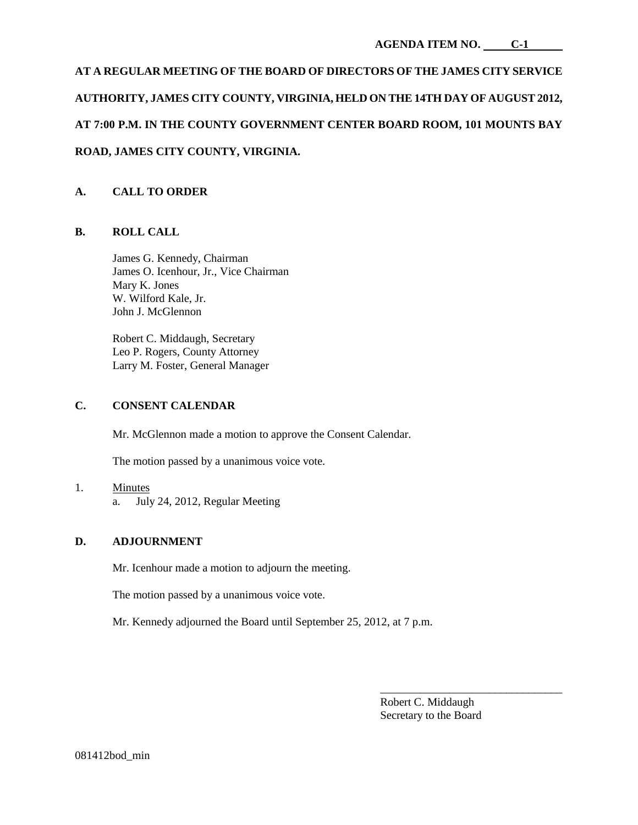# **AT A REGULAR MEETING OF THE BOARD OF DIRECTORS OF THE JAMES CITY SERVICE AUTHORITY, JAMES CITY COUNTY, VIRGINIA, HELD ON THE 14TH DAY OF AUGUST 2012, AT 7:00 P.M. IN THE COUNTY GOVERNMENT CENTER BOARD ROOM, 101 MOUNTS BAY ROAD, JAMES CITY COUNTY, VIRGINIA.**

# **A. CALL TO ORDER**

## **B. ROLL CALL**

James G. Kennedy, Chairman James O. Icenhour, Jr., Vice Chairman Mary K. Jones W. Wilford Kale, Jr. John J. McGlennon

Robert C. Middaugh, Secretary Leo P. Rogers, County Attorney Larry M. Foster, General Manager

## **C. CONSENT CALENDAR**

Mr. McGlennon made a motion to approve the Consent Calendar.

The motion passed by a unanimous voice vote.

- 1. Minutes
	- a. July 24, 2012, Regular Meeting

## **D. ADJOURNMENT**

Mr. Icenhour made a motion to adjourn the meeting.

The motion passed by a unanimous voice vote.

Mr. Kennedy adjourned the Board until September 25, 2012, at 7 p.m.

\_\_\_\_\_\_\_\_\_\_\_\_\_\_\_\_\_\_\_\_\_\_\_\_\_\_\_\_\_\_\_\_ Robert C. Middaugh Secretary to the Board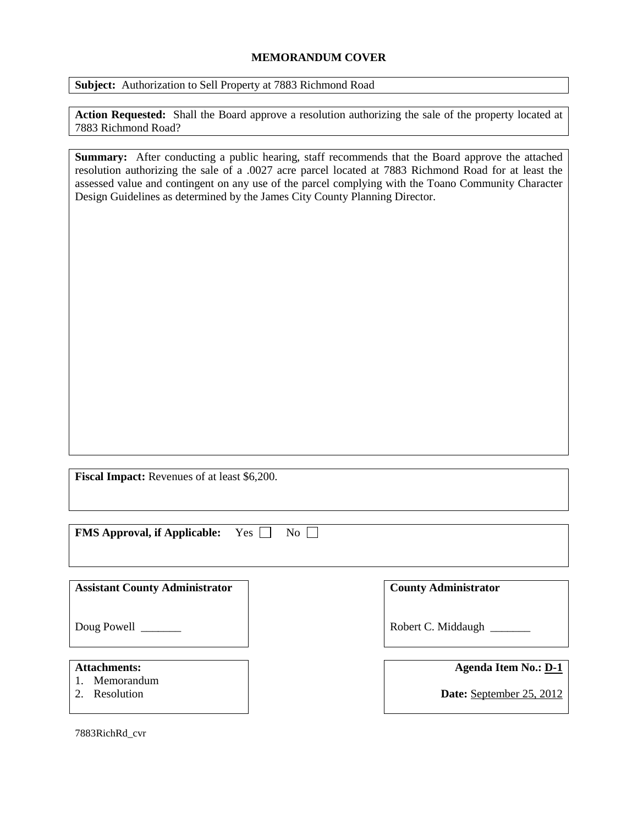## **MEMORANDUM COVER**

**Subject:** Authorization to Sell Property at 7883 Richmond Road

**Action Requested:** Shall the Board approve a resolution authorizing the sale of the property located at 7883 Richmond Road?

**Summary:** After conducting a public hearing, staff recommends that the Board approve the attached resolution authorizing the sale of a .0027 acre parcel located at 7883 Richmond Road for at least the assessed value and contingent on any use of the parcel complying with the Toano Community Character Design Guidelines as determined by the James City County Planning Director.

**Fiscal Impact:** Revenues of at least \$6,200.

**FMS Approval, if Applicable:** Yes  $\Box$  No  $\Box$ 

**Assistant County Administrator**

Doug Powell

## **Attachments:**

- 1. Memorandum
- 2. Resolution

7883RichRd\_cvr

**County Administrator**

Robert C. Middaugh \_\_\_\_\_\_\_

**Agenda Item No.: D-1**

**Date:** September 25, 2012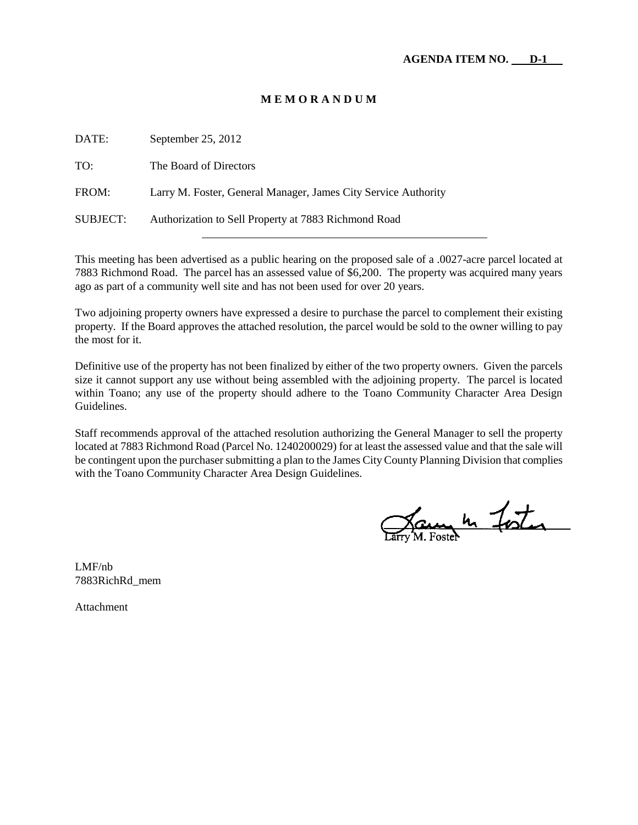## **M E M O R A N D U M**

| DATE:    | September $25, 2012$                                           |
|----------|----------------------------------------------------------------|
| TO:      | The Board of Directors                                         |
| FROM:    | Larry M. Foster, General Manager, James City Service Authority |
| SUBJECT: | Authorization to Sell Property at 7883 Richmond Road           |

This meeting has been advertised as a public hearing on the proposed sale of a .0027-acre parcel located at 7883 Richmond Road. The parcel has an assessed value of \$6,200. The property was acquired many years ago as part of a community well site and has not been used for over 20 years.

Two adjoining property owners have expressed a desire to purchase the parcel to complement their existing property. If the Board approves the attached resolution, the parcel would be sold to the owner willing to pay the most for it.

Definitive use of the property has not been finalized by either of the two property owners. Given the parcels size it cannot support any use without being assembled with the adjoining property. The parcel is located within Toano; any use of the property should adhere to the Toano Community Character Area Design Guidelines.

Staff recommends approval of the attached resolution authorizing the General Manager to sell the property located at 7883 Richmond Road (Parcel No. 1240200029) for at least the assessed value and that the sale will be contingent upon the purchaser submitting a plan to the James City County Planning Division that complies with the Toano Community Character Area Design Guidelines.

Jam h Foster

LMF/nb 7883RichRd\_mem

Attachment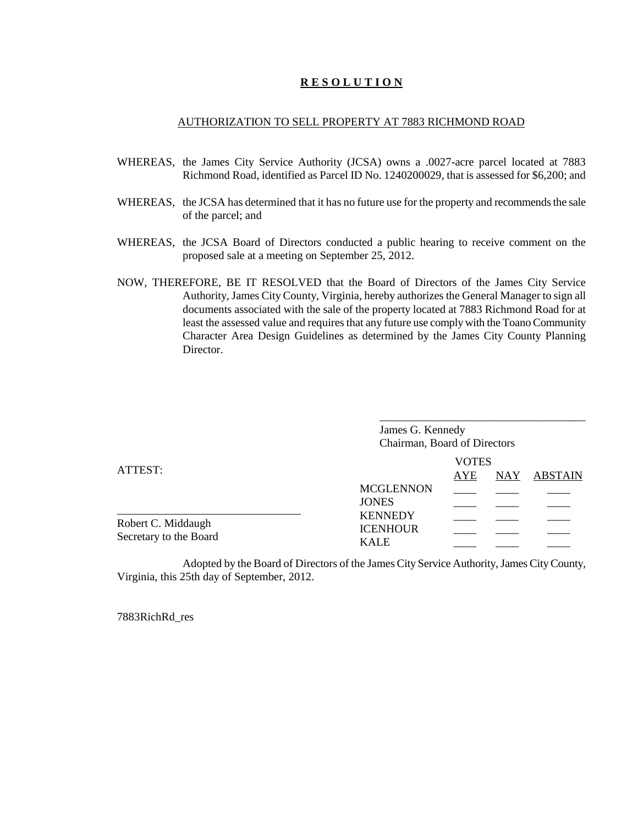## **R E S O L U T I O N**

## AUTHORIZATION TO SELL PROPERTY AT 7883 RICHMOND ROAD

- WHEREAS, the James City Service Authority (JCSA) owns a .0027-acre parcel located at 7883 Richmond Road, identified as Parcel ID No. 1240200029, that is assessed for \$6,200; and
- WHEREAS, the JCSA has determined that it has no future use for the property and recommends the sale of the parcel; and
- WHEREAS, the JCSA Board of Directors conducted a public hearing to receive comment on the proposed sale at a meeting on September 25, 2012.
- NOW, THEREFORE, BE IT RESOLVED that the Board of Directors of the James City Service Authority, James City County, Virginia, hereby authorizes the General Manager to sign all documents associated with the sale of the property located at 7883 Richmond Road for at least the assessed value and requires that any future use comply with the Toano Community Character Area Design Guidelines as determined by the James City County Planning Director.

|                                              | James G. Kennedy<br>Chairman, Board of Directors    |  |  |  |  |
|----------------------------------------------|-----------------------------------------------------|--|--|--|--|
| ATTEST:                                      | <b>VOTES</b><br><b>AYE</b><br><b>ABSTAIN</b><br>NAY |  |  |  |  |
|                                              | <b>MCGLENNON</b><br><b>JONES</b>                    |  |  |  |  |
| Robert C. Middaugh<br>Secretary to the Board | <b>KENNEDY</b><br><b>ICENHOUR</b><br><b>KALE</b>    |  |  |  |  |

Adopted by the Board of Directors of the James City Service Authority, James City County, Virginia, this 25th day of September, 2012.

7883RichRd\_res